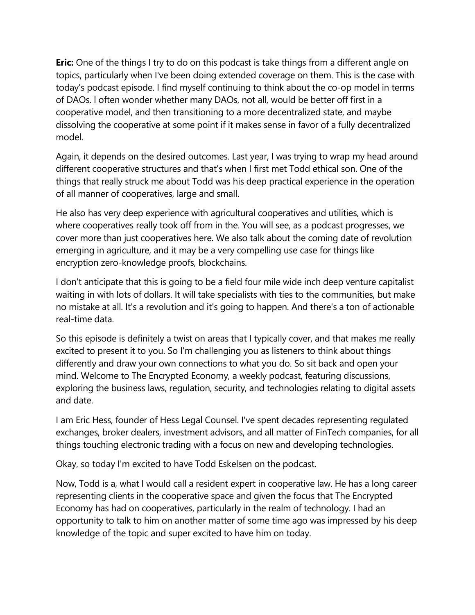**Eric:** One of the things I try to do on this podcast is take things from a different angle on topics, particularly when I've been doing extended coverage on them. This is the case with today's podcast episode. I find myself continuing to think about the co-op model in terms of DAOs. I often wonder whether many DAOs, not all, would be better off first in a cooperative model, and then transitioning to a more decentralized state, and maybe dissolving the cooperative at some point if it makes sense in favor of a fully decentralized model.

Again, it depends on the desired outcomes. Last year, I was trying to wrap my head around different cooperative structures and that's when I first met Todd ethical son. One of the things that really struck me about Todd was his deep practical experience in the operation of all manner of cooperatives, large and small.

He also has very deep experience with agricultural cooperatives and utilities, which is where cooperatives really took off from in the. You will see, as a podcast progresses, we cover more than just cooperatives here. We also talk about the coming date of revolution emerging in agriculture, and it may be a very compelling use case for things like encryption zero-knowledge proofs, blockchains.

I don't anticipate that this is going to be a field four mile wide inch deep venture capitalist waiting in with lots of dollars. It will take specialists with ties to the communities, but make no mistake at all. It's a revolution and it's going to happen. And there's a ton of actionable real-time data.

So this episode is definitely a twist on areas that I typically cover, and that makes me really excited to present it to you. So I'm challenging you as listeners to think about things differently and draw your own connections to what you do. So sit back and open your mind. Welcome to The Encrypted Economy, a weekly podcast, featuring discussions, exploring the business laws, regulation, security, and technologies relating to digital assets and date.

I am Eric Hess, founder of Hess Legal Counsel. I've spent decades representing regulated exchanges, broker dealers, investment advisors, and all matter of FinTech companies, for all things touching electronic trading with a focus on new and developing technologies.

Okay, so today I'm excited to have Todd Eskelsen on the podcast.

Now, Todd is a, what I would call a resident expert in cooperative law. He has a long career representing clients in the cooperative space and given the focus that The Encrypted Economy has had on cooperatives, particularly in the realm of technology. I had an opportunity to talk to him on another matter of some time ago was impressed by his deep knowledge of the topic and super excited to have him on today.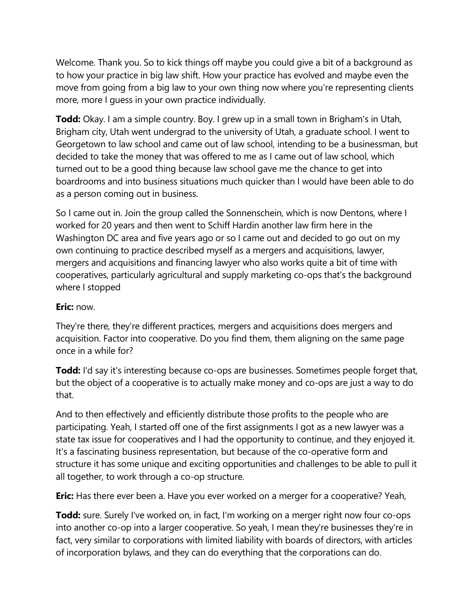Welcome. Thank you. So to kick things off maybe you could give a bit of a background as to how your practice in big law shift. How your practice has evolved and maybe even the move from going from a big law to your own thing now where you're representing clients more, more I guess in your own practice individually.

**Todd:** Okay. I am a simple country. Boy. I grew up in a small town in Brigham's in Utah, Brigham city, Utah went undergrad to the university of Utah, a graduate school. I went to Georgetown to law school and came out of law school, intending to be a businessman, but decided to take the money that was offered to me as I came out of law school, which turned out to be a good thing because law school gave me the chance to get into boardrooms and into business situations much quicker than I would have been able to do as a person coming out in business.

So I came out in. Join the group called the Sonnenschein, which is now Dentons, where I worked for 20 years and then went to Schiff Hardin another law firm here in the Washington DC area and five years ago or so I came out and decided to go out on my own continuing to practice described myself as a mergers and acquisitions, lawyer, mergers and acquisitions and financing lawyer who also works quite a bit of time with cooperatives, particularly agricultural and supply marketing co-ops that's the background where I stopped

### **Eric:** now.

They're there, they're different practices, mergers and acquisitions does mergers and acquisition. Factor into cooperative. Do you find them, them aligning on the same page once in a while for?

**Todd:** I'd say it's interesting because co-ops are businesses. Sometimes people forget that, but the object of a cooperative is to actually make money and co-ops are just a way to do that.

And to then effectively and efficiently distribute those profits to the people who are participating. Yeah, I started off one of the first assignments I got as a new lawyer was a state tax issue for cooperatives and I had the opportunity to continue, and they enjoyed it. It's a fascinating business representation, but because of the co-operative form and structure it has some unique and exciting opportunities and challenges to be able to pull it all together, to work through a co-op structure.

**Eric:** Has there ever been a. Have you ever worked on a merger for a cooperative? Yeah,

**Todd:** sure. Surely I've worked on, in fact, I'm working on a merger right now four co-ops into another co-op into a larger cooperative. So yeah, I mean they're businesses they're in fact, very similar to corporations with limited liability with boards of directors, with articles of incorporation bylaws, and they can do everything that the corporations can do.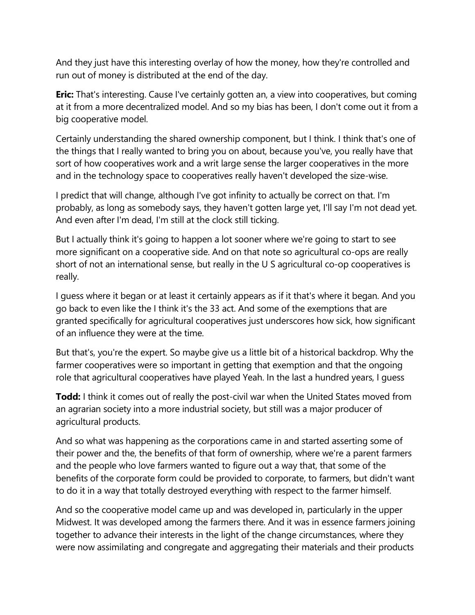And they just have this interesting overlay of how the money, how they're controlled and run out of money is distributed at the end of the day.

**Eric:** That's interesting. Cause I've certainly gotten an, a view into cooperatives, but coming at it from a more decentralized model. And so my bias has been, I don't come out it from a big cooperative model.

Certainly understanding the shared ownership component, but I think. I think that's one of the things that I really wanted to bring you on about, because you've, you really have that sort of how cooperatives work and a writ large sense the larger cooperatives in the more and in the technology space to cooperatives really haven't developed the size-wise.

I predict that will change, although I've got infinity to actually be correct on that. I'm probably, as long as somebody says, they haven't gotten large yet, I'll say I'm not dead yet. And even after I'm dead, I'm still at the clock still ticking.

But I actually think it's going to happen a lot sooner where we're going to start to see more significant on a cooperative side. And on that note so agricultural co-ops are really short of not an international sense, but really in the U S agricultural co-op cooperatives is really.

I guess where it began or at least it certainly appears as if it that's where it began. And you go back to even like the I think it's the 33 act. And some of the exemptions that are granted specifically for agricultural cooperatives just underscores how sick, how significant of an influence they were at the time.

But that's, you're the expert. So maybe give us a little bit of a historical backdrop. Why the farmer cooperatives were so important in getting that exemption and that the ongoing role that agricultural cooperatives have played Yeah. In the last a hundred years, I guess

**Todd:** I think it comes out of really the post-civil war when the United States moved from an agrarian society into a more industrial society, but still was a major producer of agricultural products.

And so what was happening as the corporations came in and started asserting some of their power and the, the benefits of that form of ownership, where we're a parent farmers and the people who love farmers wanted to figure out a way that, that some of the benefits of the corporate form could be provided to corporate, to farmers, but didn't want to do it in a way that totally destroyed everything with respect to the farmer himself.

And so the cooperative model came up and was developed in, particularly in the upper Midwest. It was developed among the farmers there. And it was in essence farmers joining together to advance their interests in the light of the change circumstances, where they were now assimilating and congregate and aggregating their materials and their products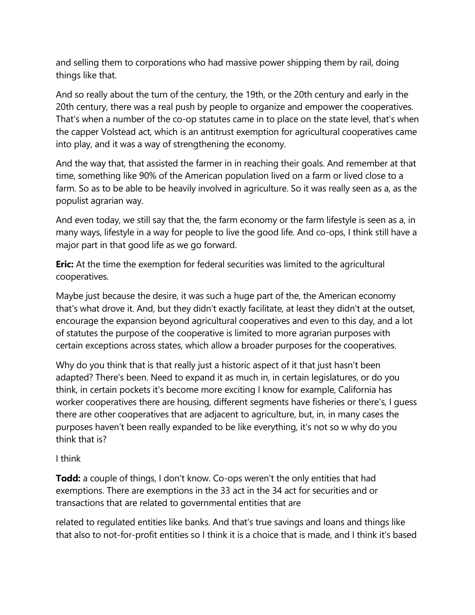and selling them to corporations who had massive power shipping them by rail, doing things like that.

And so really about the turn of the century, the 19th, or the 20th century and early in the 20th century, there was a real push by people to organize and empower the cooperatives. That's when a number of the co-op statutes came in to place on the state level, that's when the capper Volstead act, which is an antitrust exemption for agricultural cooperatives came into play, and it was a way of strengthening the economy.

And the way that, that assisted the farmer in in reaching their goals. And remember at that time, something like 90% of the American population lived on a farm or lived close to a farm. So as to be able to be heavily involved in agriculture. So it was really seen as a, as the populist agrarian way.

And even today, we still say that the, the farm economy or the farm lifestyle is seen as a, in many ways, lifestyle in a way for people to live the good life. And co-ops, I think still have a major part in that good life as we go forward.

**Eric:** At the time the exemption for federal securities was limited to the agricultural cooperatives.

Maybe just because the desire, it was such a huge part of the, the American economy that's what drove it. And, but they didn't exactly facilitate, at least they didn't at the outset, encourage the expansion beyond agricultural cooperatives and even to this day, and a lot of statutes the purpose of the cooperative is limited to more agrarian purposes with certain exceptions across states, which allow a broader purposes for the cooperatives.

Why do you think that is that really just a historic aspect of it that just hasn't been adapted? There's been. Need to expand it as much in, in certain legislatures, or do you think, in certain pockets it's become more exciting I know for example, California has worker cooperatives there are housing, different segments have fisheries or there's, I guess there are other cooperatives that are adjacent to agriculture, but, in, in many cases the purposes haven't been really expanded to be like everything, it's not so w why do you think that is?

### I think

**Todd:** a couple of things, I don't know. Co-ops weren't the only entities that had exemptions. There are exemptions in the 33 act in the 34 act for securities and or transactions that are related to governmental entities that are

related to regulated entities like banks. And that's true savings and loans and things like that also to not-for-profit entities so I think it is a choice that is made, and I think it's based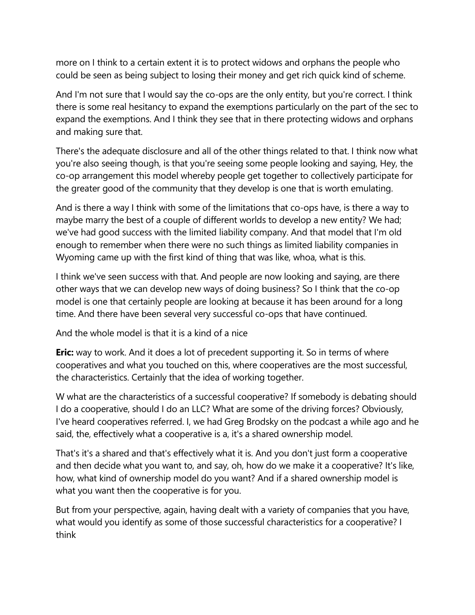more on I think to a certain extent it is to protect widows and orphans the people who could be seen as being subject to losing their money and get rich quick kind of scheme.

And I'm not sure that I would say the co-ops are the only entity, but you're correct. I think there is some real hesitancy to expand the exemptions particularly on the part of the sec to expand the exemptions. And I think they see that in there protecting widows and orphans and making sure that.

There's the adequate disclosure and all of the other things related to that. I think now what you're also seeing though, is that you're seeing some people looking and saying, Hey, the co-op arrangement this model whereby people get together to collectively participate for the greater good of the community that they develop is one that is worth emulating.

And is there a way I think with some of the limitations that co-ops have, is there a way to maybe marry the best of a couple of different worlds to develop a new entity? We had; we've had good success with the limited liability company. And that model that I'm old enough to remember when there were no such things as limited liability companies in Wyoming came up with the first kind of thing that was like, whoa, what is this.

I think we've seen success with that. And people are now looking and saying, are there other ways that we can develop new ways of doing business? So I think that the co-op model is one that certainly people are looking at because it has been around for a long time. And there have been several very successful co-ops that have continued.

And the whole model is that it is a kind of a nice

**Eric:** way to work. And it does a lot of precedent supporting it. So in terms of where cooperatives and what you touched on this, where cooperatives are the most successful, the characteristics. Certainly that the idea of working together.

W what are the characteristics of a successful cooperative? If somebody is debating should I do a cooperative, should I do an LLC? What are some of the driving forces? Obviously, I've heard cooperatives referred. I, we had Greg Brodsky on the podcast a while ago and he said, the, effectively what a cooperative is a, it's a shared ownership model.

That's it's a shared and that's effectively what it is. And you don't just form a cooperative and then decide what you want to, and say, oh, how do we make it a cooperative? It's like, how, what kind of ownership model do you want? And if a shared ownership model is what you want then the cooperative is for you.

But from your perspective, again, having dealt with a variety of companies that you have, what would you identify as some of those successful characteristics for a cooperative? I think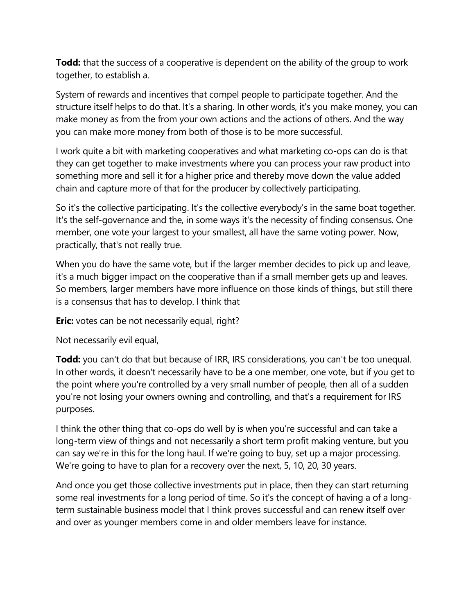**Todd:** that the success of a cooperative is dependent on the ability of the group to work together, to establish a.

System of rewards and incentives that compel people to participate together. And the structure itself helps to do that. It's a sharing. In other words, it's you make money, you can make money as from the from your own actions and the actions of others. And the way you can make more money from both of those is to be more successful.

I work quite a bit with marketing cooperatives and what marketing co-ops can do is that they can get together to make investments where you can process your raw product into something more and sell it for a higher price and thereby move down the value added chain and capture more of that for the producer by collectively participating.

So it's the collective participating. It's the collective everybody's in the same boat together. It's the self-governance and the, in some ways it's the necessity of finding consensus. One member, one vote your largest to your smallest, all have the same voting power. Now, practically, that's not really true.

When you do have the same vote, but if the larger member decides to pick up and leave, it's a much bigger impact on the cooperative than if a small member gets up and leaves. So members, larger members have more influence on those kinds of things, but still there is a consensus that has to develop. I think that

**Eric:** votes can be not necessarily equal, right?

Not necessarily evil equal,

**Todd:** you can't do that but because of IRR, IRS considerations, you can't be too unequal. In other words, it doesn't necessarily have to be a one member, one vote, but if you get to the point where you're controlled by a very small number of people, then all of a sudden you're not losing your owners owning and controlling, and that's a requirement for IRS purposes.

I think the other thing that co-ops do well by is when you're successful and can take a long-term view of things and not necessarily a short term profit making venture, but you can say we're in this for the long haul. If we're going to buy, set up a major processing. We're going to have to plan for a recovery over the next, 5, 10, 20, 30 years.

And once you get those collective investments put in place, then they can start returning some real investments for a long period of time. So it's the concept of having a of a longterm sustainable business model that I think proves successful and can renew itself over and over as younger members come in and older members leave for instance.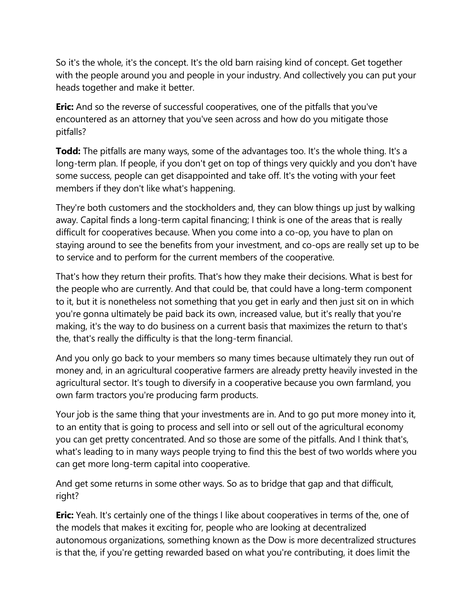So it's the whole, it's the concept. It's the old barn raising kind of concept. Get together with the people around you and people in your industry. And collectively you can put your heads together and make it better.

**Eric:** And so the reverse of successful cooperatives, one of the pitfalls that you've encountered as an attorney that you've seen across and how do you mitigate those pitfalls?

**Todd:** The pitfalls are many ways, some of the advantages too. It's the whole thing. It's a long-term plan. If people, if you don't get on top of things very quickly and you don't have some success, people can get disappointed and take off. It's the voting with your feet members if they don't like what's happening.

They're both customers and the stockholders and, they can blow things up just by walking away. Capital finds a long-term capital financing; I think is one of the areas that is really difficult for cooperatives because. When you come into a co-op, you have to plan on staying around to see the benefits from your investment, and co-ops are really set up to be to service and to perform for the current members of the cooperative.

That's how they return their profits. That's how they make their decisions. What is best for the people who are currently. And that could be, that could have a long-term component to it, but it is nonetheless not something that you get in early and then just sit on in which you're gonna ultimately be paid back its own, increased value, but it's really that you're making, it's the way to do business on a current basis that maximizes the return to that's the, that's really the difficulty is that the long-term financial.

And you only go back to your members so many times because ultimately they run out of money and, in an agricultural cooperative farmers are already pretty heavily invested in the agricultural sector. It's tough to diversify in a cooperative because you own farmland, you own farm tractors you're producing farm products.

Your job is the same thing that your investments are in. And to go put more money into it, to an entity that is going to process and sell into or sell out of the agricultural economy you can get pretty concentrated. And so those are some of the pitfalls. And I think that's, what's leading to in many ways people trying to find this the best of two worlds where you can get more long-term capital into cooperative.

And get some returns in some other ways. So as to bridge that gap and that difficult, right?

**Eric:** Yeah. It's certainly one of the things I like about cooperatives in terms of the, one of the models that makes it exciting for, people who are looking at decentralized autonomous organizations, something known as the Dow is more decentralized structures is that the, if you're getting rewarded based on what you're contributing, it does limit the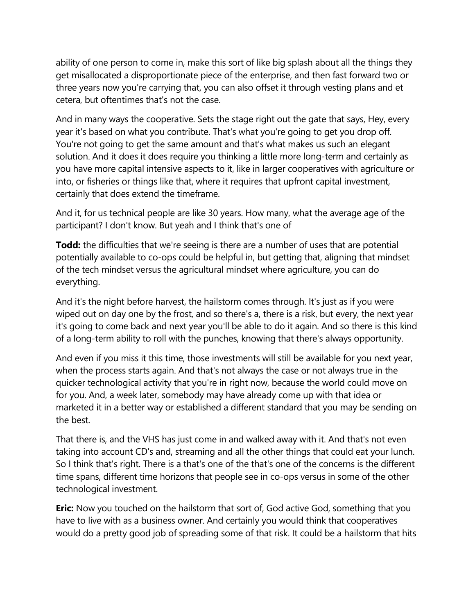ability of one person to come in, make this sort of like big splash about all the things they get misallocated a disproportionate piece of the enterprise, and then fast forward two or three years now you're carrying that, you can also offset it through vesting plans and et cetera, but oftentimes that's not the case.

And in many ways the cooperative. Sets the stage right out the gate that says, Hey, every year it's based on what you contribute. That's what you're going to get you drop off. You're not going to get the same amount and that's what makes us such an elegant solution. And it does it does require you thinking a little more long-term and certainly as you have more capital intensive aspects to it, like in larger cooperatives with agriculture or into, or fisheries or things like that, where it requires that upfront capital investment, certainly that does extend the timeframe.

And it, for us technical people are like 30 years. How many, what the average age of the participant? I don't know. But yeah and I think that's one of

**Todd:** the difficulties that we're seeing is there are a number of uses that are potential potentially available to co-ops could be helpful in, but getting that, aligning that mindset of the tech mindset versus the agricultural mindset where agriculture, you can do everything.

And it's the night before harvest, the hailstorm comes through. It's just as if you were wiped out on day one by the frost, and so there's a, there is a risk, but every, the next year it's going to come back and next year you'll be able to do it again. And so there is this kind of a long-term ability to roll with the punches, knowing that there's always opportunity.

And even if you miss it this time, those investments will still be available for you next year, when the process starts again. And that's not always the case or not always true in the quicker technological activity that you're in right now, because the world could move on for you. And, a week later, somebody may have already come up with that idea or marketed it in a better way or established a different standard that you may be sending on the best.

That there is, and the VHS has just come in and walked away with it. And that's not even taking into account CD's and, streaming and all the other things that could eat your lunch. So I think that's right. There is a that's one of the that's one of the concerns is the different time spans, different time horizons that people see in co-ops versus in some of the other technological investment.

**Eric:** Now you touched on the hailstorm that sort of, God active God, something that you have to live with as a business owner. And certainly you would think that cooperatives would do a pretty good job of spreading some of that risk. It could be a hailstorm that hits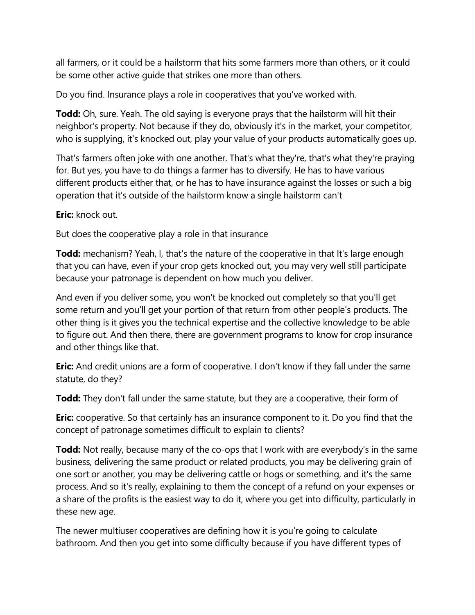all farmers, or it could be a hailstorm that hits some farmers more than others, or it could be some other active guide that strikes one more than others.

Do you find. Insurance plays a role in cooperatives that you've worked with.

**Todd:** Oh, sure. Yeah. The old saying is everyone prays that the hailstorm will hit their neighbor's property. Not because if they do, obviously it's in the market, your competitor, who is supplying, it's knocked out, play your value of your products automatically goes up.

That's farmers often joke with one another. That's what they're, that's what they're praying for. But yes, you have to do things a farmer has to diversify. He has to have various different products either that, or he has to have insurance against the losses or such a big operation that it's outside of the hailstorm know a single hailstorm can't

**Eric:** knock out.

But does the cooperative play a role in that insurance

**Todd:** mechanism? Yeah, I, that's the nature of the cooperative in that It's large enough that you can have, even if your crop gets knocked out, you may very well still participate because your patronage is dependent on how much you deliver.

And even if you deliver some, you won't be knocked out completely so that you'll get some return and you'll get your portion of that return from other people's products. The other thing is it gives you the technical expertise and the collective knowledge to be able to figure out. And then there, there are government programs to know for crop insurance and other things like that.

**Eric:** And credit unions are a form of cooperative. I don't know if they fall under the same statute, do they?

**Todd:** They don't fall under the same statute, but they are a cooperative, their form of

**Eric:** cooperative. So that certainly has an insurance component to it. Do you find that the concept of patronage sometimes difficult to explain to clients?

**Todd:** Not really, because many of the co-ops that I work with are everybody's in the same business, delivering the same product or related products, you may be delivering grain of one sort or another, you may be delivering cattle or hogs or something, and it's the same process. And so it's really, explaining to them the concept of a refund on your expenses or a share of the profits is the easiest way to do it, where you get into difficulty, particularly in these new age.

The newer multiuser cooperatives are defining how it is you're going to calculate bathroom. And then you get into some difficulty because if you have different types of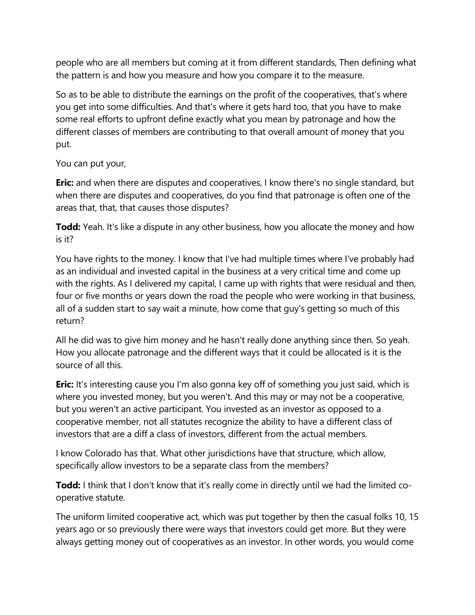people who are all members but coming at it from different standards, Then defining what the pattern is and how you measure and how you compare it to the measure.

So as to be able to distribute the earnings on the profit of the cooperatives, that's where you get into some difficulties. And that's where it gets hard too, that you have to make some real efforts to upfront define exactly what you mean by patronage and how the different classes of members are contributing to that overall amount of money that you put.

You can put your,

**Eric:** and when there are disputes and cooperatives, I know there's no single standard, but when there are disputes and cooperatives, do you find that patronage is often one of the areas that, that, that causes those disputes?

**Todd:** Yeah. It's like a dispute in any other business, how you allocate the money and how is it?

You have rights to the money. I know that I've had multiple times where I've probably had as an individual and invested capital in the business at a very critical time and come up with the rights. As I delivered my capital, I came up with rights that were residual and then, four or five months or years down the road the people who were working in that business, all of a sudden start to say wait a minute, how come that guy's getting so much of this return?

All he did was to give him money and he hasn't really done anything since then. So yeah. How you allocate patronage and the different ways that it could be allocated is it is the source of all this.

**Eric:** It's interesting cause you I'm also gonna key off of something you just said, which is where you invested money, but you weren't. And this may or may not be a cooperative, but you weren't an active participant. You invested as an investor as opposed to a cooperative member, not all statutes recognize the ability to have a different class of investors that are a diff a class of investors, different from the actual members.

I know Colorado has that. What other jurisdictions have that structure, which allow, specifically allow investors to be a separate class from the members?

**Todd:** I think that I don't know that it's really come in directly until we had the limited cooperative statute.

The uniform limited cooperative act, which was put together by then the casual folks 10, 15 years ago or so previously there were ways that investors could get more. But they were always getting money out of cooperatives as an investor. In other words, you would come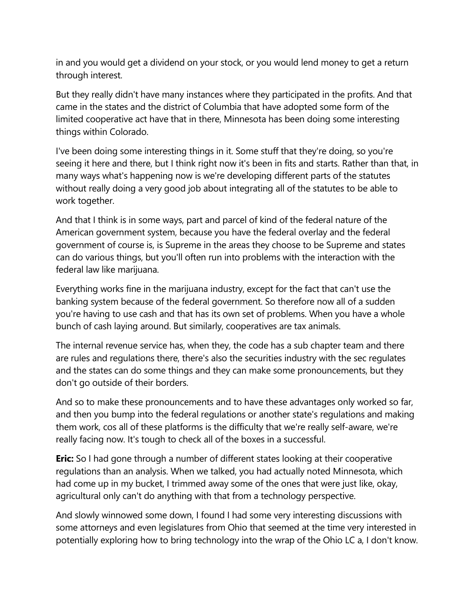in and you would get a dividend on your stock, or you would lend money to get a return through interest.

But they really didn't have many instances where they participated in the profits. And that came in the states and the district of Columbia that have adopted some form of the limited cooperative act have that in there, Minnesota has been doing some interesting things within Colorado.

I've been doing some interesting things in it. Some stuff that they're doing, so you're seeing it here and there, but I think right now it's been in fits and starts. Rather than that, in many ways what's happening now is we're developing different parts of the statutes without really doing a very good job about integrating all of the statutes to be able to work together.

And that I think is in some ways, part and parcel of kind of the federal nature of the American government system, because you have the federal overlay and the federal government of course is, is Supreme in the areas they choose to be Supreme and states can do various things, but you'll often run into problems with the interaction with the federal law like marijuana.

Everything works fine in the marijuana industry, except for the fact that can't use the banking system because of the federal government. So therefore now all of a sudden you're having to use cash and that has its own set of problems. When you have a whole bunch of cash laying around. But similarly, cooperatives are tax animals.

The internal revenue service has, when they, the code has a sub chapter team and there are rules and regulations there, there's also the securities industry with the sec regulates and the states can do some things and they can make some pronouncements, but they don't go outside of their borders.

And so to make these pronouncements and to have these advantages only worked so far, and then you bump into the federal regulations or another state's regulations and making them work, cos all of these platforms is the difficulty that we're really self-aware, we're really facing now. It's tough to check all of the boxes in a successful.

**Eric:** So I had gone through a number of different states looking at their cooperative regulations than an analysis. When we talked, you had actually noted Minnesota, which had come up in my bucket, I trimmed away some of the ones that were just like, okay, agricultural only can't do anything with that from a technology perspective.

And slowly winnowed some down, I found I had some very interesting discussions with some attorneys and even legislatures from Ohio that seemed at the time very interested in potentially exploring how to bring technology into the wrap of the Ohio LC a, I don't know.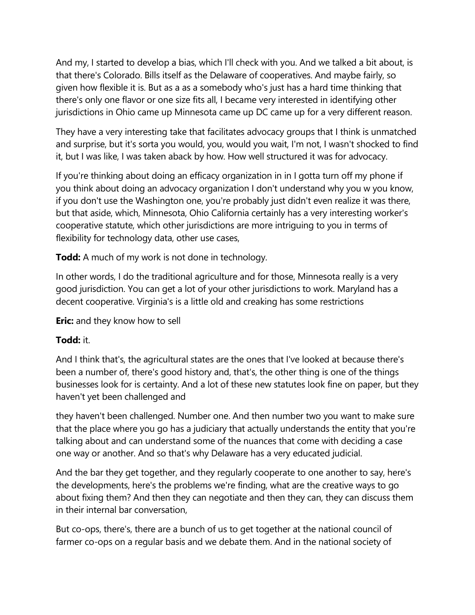And my, I started to develop a bias, which I'll check with you. And we talked a bit about, is that there's Colorado. Bills itself as the Delaware of cooperatives. And maybe fairly, so given how flexible it is. But as a as a somebody who's just has a hard time thinking that there's only one flavor or one size fits all, I became very interested in identifying other jurisdictions in Ohio came up Minnesota came up DC came up for a very different reason.

They have a very interesting take that facilitates advocacy groups that I think is unmatched and surprise, but it's sorta you would, you, would you wait, I'm not, I wasn't shocked to find it, but I was like, I was taken aback by how. How well structured it was for advocacy.

If you're thinking about doing an efficacy organization in in I gotta turn off my phone if you think about doing an advocacy organization I don't understand why you w you know, if you don't use the Washington one, you're probably just didn't even realize it was there, but that aside, which, Minnesota, Ohio California certainly has a very interesting worker's cooperative statute, which other jurisdictions are more intriguing to you in terms of flexibility for technology data, other use cases,

**Todd:** A much of my work is not done in technology.

In other words, I do the traditional agriculture and for those, Minnesota really is a very good jurisdiction. You can get a lot of your other jurisdictions to work. Maryland has a decent cooperative. Virginia's is a little old and creaking has some restrictions

**Eric:** and they know how to sell

### **Todd:** it.

And I think that's, the agricultural states are the ones that I've looked at because there's been a number of, there's good history and, that's, the other thing is one of the things businesses look for is certainty. And a lot of these new statutes look fine on paper, but they haven't yet been challenged and

they haven't been challenged. Number one. And then number two you want to make sure that the place where you go has a judiciary that actually understands the entity that you're talking about and can understand some of the nuances that come with deciding a case one way or another. And so that's why Delaware has a very educated judicial.

And the bar they get together, and they regularly cooperate to one another to say, here's the developments, here's the problems we're finding, what are the creative ways to go about fixing them? And then they can negotiate and then they can, they can discuss them in their internal bar conversation,

But co-ops, there's, there are a bunch of us to get together at the national council of farmer co-ops on a regular basis and we debate them. And in the national society of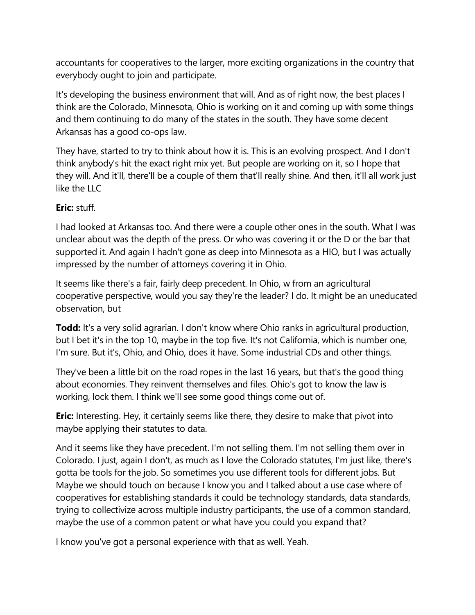accountants for cooperatives to the larger, more exciting organizations in the country that everybody ought to join and participate.

It's developing the business environment that will. And as of right now, the best places I think are the Colorado, Minnesota, Ohio is working on it and coming up with some things and them continuing to do many of the states in the south. They have some decent Arkansas has a good co-ops law.

They have, started to try to think about how it is. This is an evolving prospect. And I don't think anybody's hit the exact right mix yet. But people are working on it, so I hope that they will. And it'll, there'll be a couple of them that'll really shine. And then, it'll all work just like the LLC

# **Eric:** stuff.

I had looked at Arkansas too. And there were a couple other ones in the south. What I was unclear about was the depth of the press. Or who was covering it or the D or the bar that supported it. And again I hadn't gone as deep into Minnesota as a HIO, but I was actually impressed by the number of attorneys covering it in Ohio.

It seems like there's a fair, fairly deep precedent. In Ohio, w from an agricultural cooperative perspective, would you say they're the leader? I do. It might be an uneducated observation, but

**Todd:** It's a very solid agrarian. I don't know where Ohio ranks in agricultural production, but I bet it's in the top 10, maybe in the top five. It's not California, which is number one, I'm sure. But it's, Ohio, and Ohio, does it have. Some industrial CDs and other things.

They've been a little bit on the road ropes in the last 16 years, but that's the good thing about economies. They reinvent themselves and files. Ohio's got to know the law is working, lock them. I think we'll see some good things come out of.

**Eric:** Interesting. Hey, it certainly seems like there, they desire to make that pivot into maybe applying their statutes to data.

And it seems like they have precedent. I'm not selling them. I'm not selling them over in Colorado. I just, again I don't, as much as I love the Colorado statutes, I'm just like, there's gotta be tools for the job. So sometimes you use different tools for different jobs. But Maybe we should touch on because I know you and I talked about a use case where of cooperatives for establishing standards it could be technology standards, data standards, trying to collectivize across multiple industry participants, the use of a common standard, maybe the use of a common patent or what have you could you expand that?

I know you've got a personal experience with that as well. Yeah.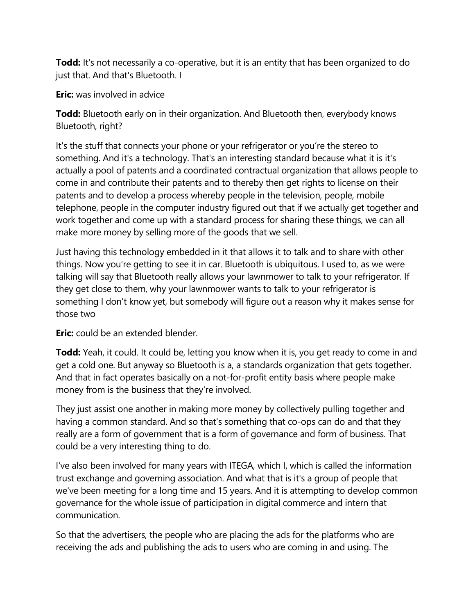**Todd:** It's not necessarily a co-operative, but it is an entity that has been organized to do just that. And that's Bluetooth. I

**Eric:** was involved in advice

**Todd:** Bluetooth early on in their organization. And Bluetooth then, everybody knows Bluetooth, right?

It's the stuff that connects your phone or your refrigerator or you're the stereo to something. And it's a technology. That's an interesting standard because what it is it's actually a pool of patents and a coordinated contractual organization that allows people to come in and contribute their patents and to thereby then get rights to license on their patents and to develop a process whereby people in the television, people, mobile telephone, people in the computer industry figured out that if we actually get together and work together and come up with a standard process for sharing these things, we can all make more money by selling more of the goods that we sell.

Just having this technology embedded in it that allows it to talk and to share with other things. Now you're getting to see it in car. Bluetooth is ubiquitous. I used to, as we were talking will say that Bluetooth really allows your lawnmower to talk to your refrigerator. If they get close to them, why your lawnmower wants to talk to your refrigerator is something I don't know yet, but somebody will figure out a reason why it makes sense for those two

**Eric:** could be an extended blender.

**Todd:** Yeah, it could. It could be, letting you know when it is, you get ready to come in and get a cold one. But anyway so Bluetooth is a, a standards organization that gets together. And that in fact operates basically on a not-for-profit entity basis where people make money from is the business that they're involved.

They just assist one another in making more money by collectively pulling together and having a common standard. And so that's something that co-ops can do and that they really are a form of government that is a form of governance and form of business. That could be a very interesting thing to do.

I've also been involved for many years with ITEGA, which I, which is called the information trust exchange and governing association. And what that is it's a group of people that we've been meeting for a long time and 15 years. And it is attempting to develop common governance for the whole issue of participation in digital commerce and intern that communication.

So that the advertisers, the people who are placing the ads for the platforms who are receiving the ads and publishing the ads to users who are coming in and using. The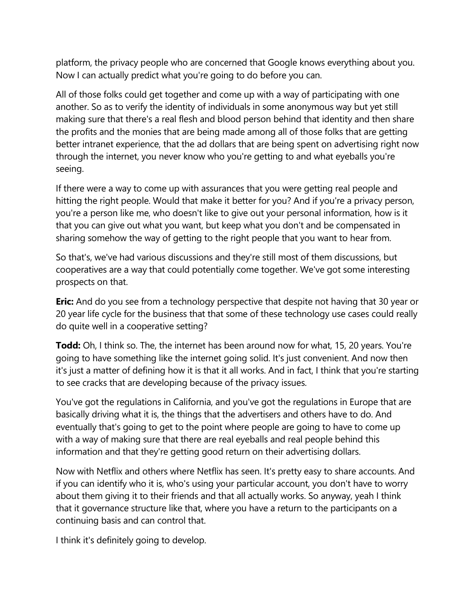platform, the privacy people who are concerned that Google knows everything about you. Now I can actually predict what you're going to do before you can.

All of those folks could get together and come up with a way of participating with one another. So as to verify the identity of individuals in some anonymous way but yet still making sure that there's a real flesh and blood person behind that identity and then share the profits and the monies that are being made among all of those folks that are getting better intranet experience, that the ad dollars that are being spent on advertising right now through the internet, you never know who you're getting to and what eyeballs you're seeing.

If there were a way to come up with assurances that you were getting real people and hitting the right people. Would that make it better for you? And if you're a privacy person, you're a person like me, who doesn't like to give out your personal information, how is it that you can give out what you want, but keep what you don't and be compensated in sharing somehow the way of getting to the right people that you want to hear from.

So that's, we've had various discussions and they're still most of them discussions, but cooperatives are a way that could potentially come together. We've got some interesting prospects on that.

**Eric:** And do you see from a technology perspective that despite not having that 30 year or 20 year life cycle for the business that that some of these technology use cases could really do quite well in a cooperative setting?

**Todd:** Oh, I think so. The, the internet has been around now for what, 15, 20 years. You're going to have something like the internet going solid. It's just convenient. And now then it's just a matter of defining how it is that it all works. And in fact, I think that you're starting to see cracks that are developing because of the privacy issues.

You've got the regulations in California, and you've got the regulations in Europe that are basically driving what it is, the things that the advertisers and others have to do. And eventually that's going to get to the point where people are going to have to come up with a way of making sure that there are real eyeballs and real people behind this information and that they're getting good return on their advertising dollars.

Now with Netflix and others where Netflix has seen. It's pretty easy to share accounts. And if you can identify who it is, who's using your particular account, you don't have to worry about them giving it to their friends and that all actually works. So anyway, yeah I think that it governance structure like that, where you have a return to the participants on a continuing basis and can control that.

I think it's definitely going to develop.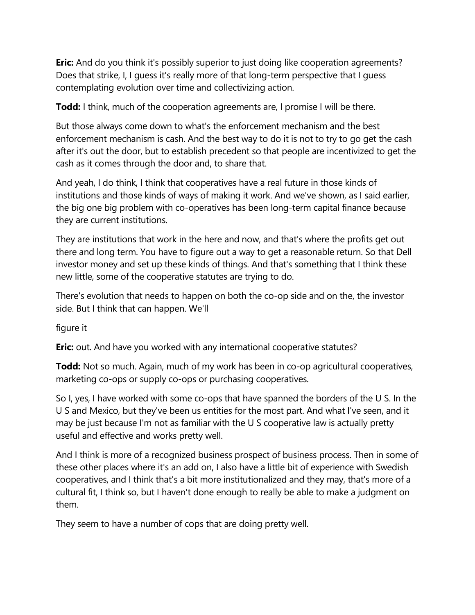**Eric:** And do you think it's possibly superior to just doing like cooperation agreements? Does that strike, I, I guess it's really more of that long-term perspective that I guess contemplating evolution over time and collectivizing action.

**Todd:** I think, much of the cooperation agreements are, I promise I will be there.

But those always come down to what's the enforcement mechanism and the best enforcement mechanism is cash. And the best way to do it is not to try to go get the cash after it's out the door, but to establish precedent so that people are incentivized to get the cash as it comes through the door and, to share that.

And yeah, I do think, I think that cooperatives have a real future in those kinds of institutions and those kinds of ways of making it work. And we've shown, as I said earlier, the big one big problem with co-operatives has been long-term capital finance because they are current institutions.

They are institutions that work in the here and now, and that's where the profits get out there and long term. You have to figure out a way to get a reasonable return. So that Dell investor money and set up these kinds of things. And that's something that I think these new little, some of the cooperative statutes are trying to do.

There's evolution that needs to happen on both the co-op side and on the, the investor side. But I think that can happen. We'll

figure it

**Eric:** out. And have you worked with any international cooperative statutes?

**Todd:** Not so much. Again, much of my work has been in co-op agricultural cooperatives, marketing co-ops or supply co-ops or purchasing cooperatives.

So I, yes, I have worked with some co-ops that have spanned the borders of the U S. In the U S and Mexico, but they've been us entities for the most part. And what I've seen, and it may be just because I'm not as familiar with the U S cooperative law is actually pretty useful and effective and works pretty well.

And I think is more of a recognized business prospect of business process. Then in some of these other places where it's an add on, I also have a little bit of experience with Swedish cooperatives, and I think that's a bit more institutionalized and they may, that's more of a cultural fit, I think so, but I haven't done enough to really be able to make a judgment on them.

They seem to have a number of cops that are doing pretty well.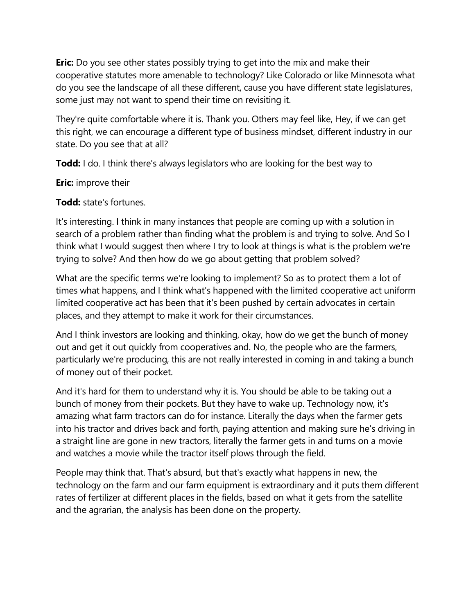**Eric:** Do you see other states possibly trying to get into the mix and make their cooperative statutes more amenable to technology? Like Colorado or like Minnesota what do you see the landscape of all these different, cause you have different state legislatures, some just may not want to spend their time on revisiting it.

They're quite comfortable where it is. Thank you. Others may feel like, Hey, if we can get this right, we can encourage a different type of business mindset, different industry in our state. Do you see that at all?

**Todd:** I do. I think there's always legislators who are looking for the best way to

**Eric:** improve their

**Todd:** state's fortunes.

It's interesting. I think in many instances that people are coming up with a solution in search of a problem rather than finding what the problem is and trying to solve. And So I think what I would suggest then where I try to look at things is what is the problem we're trying to solve? And then how do we go about getting that problem solved?

What are the specific terms we're looking to implement? So as to protect them a lot of times what happens, and I think what's happened with the limited cooperative act uniform limited cooperative act has been that it's been pushed by certain advocates in certain places, and they attempt to make it work for their circumstances.

And I think investors are looking and thinking, okay, how do we get the bunch of money out and get it out quickly from cooperatives and. No, the people who are the farmers, particularly we're producing, this are not really interested in coming in and taking a bunch of money out of their pocket.

And it's hard for them to understand why it is. You should be able to be taking out a bunch of money from their pockets. But they have to wake up. Technology now, it's amazing what farm tractors can do for instance. Literally the days when the farmer gets into his tractor and drives back and forth, paying attention and making sure he's driving in a straight line are gone in new tractors, literally the farmer gets in and turns on a movie and watches a movie while the tractor itself plows through the field.

People may think that. That's absurd, but that's exactly what happens in new, the technology on the farm and our farm equipment is extraordinary and it puts them different rates of fertilizer at different places in the fields, based on what it gets from the satellite and the agrarian, the analysis has been done on the property.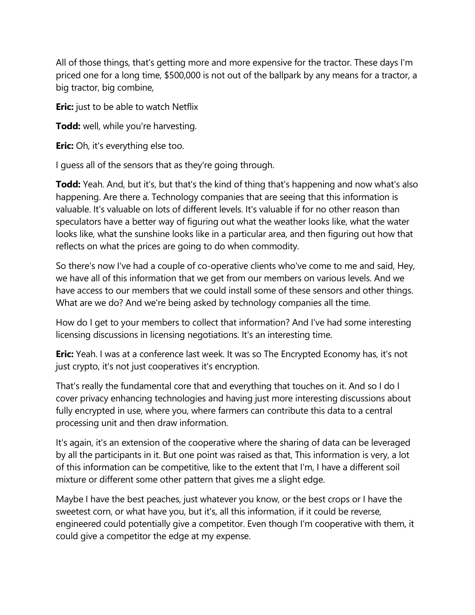All of those things, that's getting more and more expensive for the tractor. These days I'm priced one for a long time, \$500,000 is not out of the ballpark by any means for a tractor, a big tractor, big combine,

**Eric:** just to be able to watch Netflix

**Todd:** well, while you're harvesting.

**Eric:** Oh, it's everything else too.

I guess all of the sensors that as they're going through.

**Todd:** Yeah. And, but it's, but that's the kind of thing that's happening and now what's also happening. Are there a. Technology companies that are seeing that this information is valuable. It's valuable on lots of different levels. It's valuable if for no other reason than speculators have a better way of figuring out what the weather looks like, what the water looks like, what the sunshine looks like in a particular area, and then figuring out how that reflects on what the prices are going to do when commodity.

So there's now I've had a couple of co-operative clients who've come to me and said, Hey, we have all of this information that we get from our members on various levels. And we have access to our members that we could install some of these sensors and other things. What are we do? And we're being asked by technology companies all the time.

How do I get to your members to collect that information? And I've had some interesting licensing discussions in licensing negotiations. It's an interesting time.

**Eric:** Yeah. I was at a conference last week. It was so The Encrypted Economy has, it's not just crypto, it's not just cooperatives it's encryption.

That's really the fundamental core that and everything that touches on it. And so I do I cover privacy enhancing technologies and having just more interesting discussions about fully encrypted in use, where you, where farmers can contribute this data to a central processing unit and then draw information.

It's again, it's an extension of the cooperative where the sharing of data can be leveraged by all the participants in it. But one point was raised as that, This information is very, a lot of this information can be competitive, like to the extent that I'm, I have a different soil mixture or different some other pattern that gives me a slight edge.

Maybe I have the best peaches, just whatever you know, or the best crops or I have the sweetest corn, or what have you, but it's, all this information, if it could be reverse, engineered could potentially give a competitor. Even though I'm cooperative with them, it could give a competitor the edge at my expense.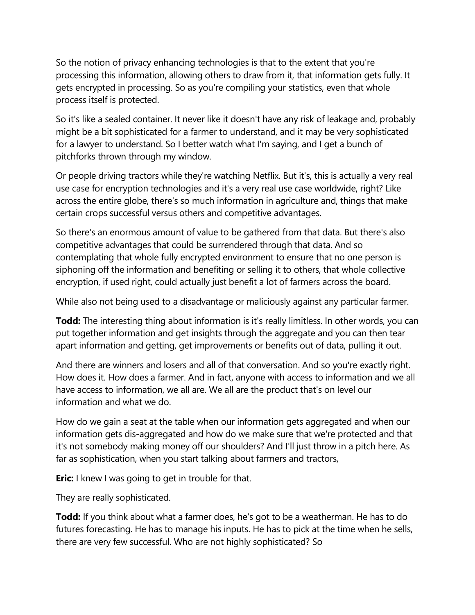So the notion of privacy enhancing technologies is that to the extent that you're processing this information, allowing others to draw from it, that information gets fully. It gets encrypted in processing. So as you're compiling your statistics, even that whole process itself is protected.

So it's like a sealed container. It never like it doesn't have any risk of leakage and, probably might be a bit sophisticated for a farmer to understand, and it may be very sophisticated for a lawyer to understand. So I better watch what I'm saying, and I get a bunch of pitchforks thrown through my window.

Or people driving tractors while they're watching Netflix. But it's, this is actually a very real use case for encryption technologies and it's a very real use case worldwide, right? Like across the entire globe, there's so much information in agriculture and, things that make certain crops successful versus others and competitive advantages.

So there's an enormous amount of value to be gathered from that data. But there's also competitive advantages that could be surrendered through that data. And so contemplating that whole fully encrypted environment to ensure that no one person is siphoning off the information and benefiting or selling it to others, that whole collective encryption, if used right, could actually just benefit a lot of farmers across the board.

While also not being used to a disadvantage or maliciously against any particular farmer.

**Todd:** The interesting thing about information is it's really limitless. In other words, you can put together information and get insights through the aggregate and you can then tear apart information and getting, get improvements or benefits out of data, pulling it out.

And there are winners and losers and all of that conversation. And so you're exactly right. How does it. How does a farmer. And in fact, anyone with access to information and we all have access to information, we all are. We all are the product that's on level our information and what we do.

How do we gain a seat at the table when our information gets aggregated and when our information gets dis-aggregated and how do we make sure that we're protected and that it's not somebody making money off our shoulders? And I'll just throw in a pitch here. As far as sophistication, when you start talking about farmers and tractors,

**Eric:** I knew I was going to get in trouble for that.

They are really sophisticated.

**Todd:** If you think about what a farmer does, he's got to be a weatherman. He has to do futures forecasting. He has to manage his inputs. He has to pick at the time when he sells, there are very few successful. Who are not highly sophisticated? So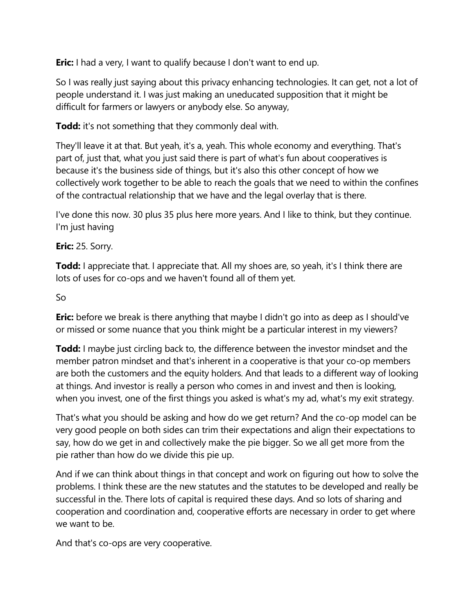**Eric:** I had a very, I want to qualify because I don't want to end up.

So I was really just saying about this privacy enhancing technologies. It can get, not a lot of people understand it. I was just making an uneducated supposition that it might be difficult for farmers or lawyers or anybody else. So anyway,

**Todd:** it's not something that they commonly deal with.

They'll leave it at that. But yeah, it's a, yeah. This whole economy and everything. That's part of, just that, what you just said there is part of what's fun about cooperatives is because it's the business side of things, but it's also this other concept of how we collectively work together to be able to reach the goals that we need to within the confines of the contractual relationship that we have and the legal overlay that is there.

I've done this now. 30 plus 35 plus here more years. And I like to think, but they continue. I'm just having

# **Eric:** 25. Sorry.

**Todd:** I appreciate that. I appreciate that. All my shoes are, so yeah, it's I think there are lots of uses for co-ops and we haven't found all of them yet.

# So

**Eric:** before we break is there anything that maybe I didn't go into as deep as I should've or missed or some nuance that you think might be a particular interest in my viewers?

**Todd:** I maybe just circling back to, the difference between the investor mindset and the member patron mindset and that's inherent in a cooperative is that your co-op members are both the customers and the equity holders. And that leads to a different way of looking at things. And investor is really a person who comes in and invest and then is looking, when you invest, one of the first things you asked is what's my ad, what's my exit strategy.

That's what you should be asking and how do we get return? And the co-op model can be very good people on both sides can trim their expectations and align their expectations to say, how do we get in and collectively make the pie bigger. So we all get more from the pie rather than how do we divide this pie up.

And if we can think about things in that concept and work on figuring out how to solve the problems. I think these are the new statutes and the statutes to be developed and really be successful in the. There lots of capital is required these days. And so lots of sharing and cooperation and coordination and, cooperative efforts are necessary in order to get where we want to be.

And that's co-ops are very cooperative.